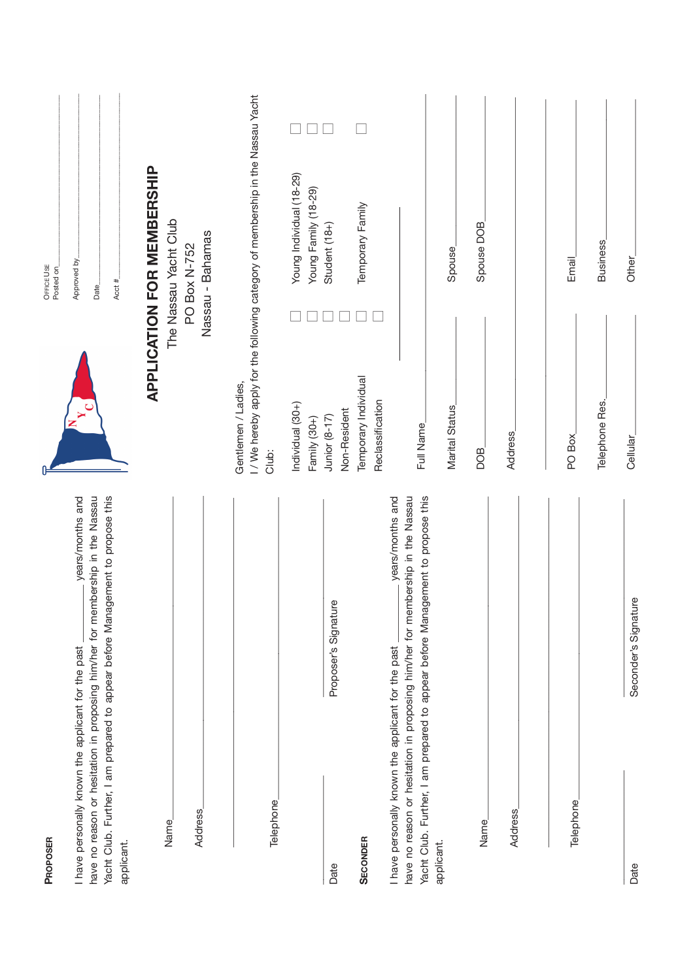| PROPOSER                                                                                                                                                                                                                                                 |                                          | OFFICE USE<br>Posted on                                                                 |
|----------------------------------------------------------------------------------------------------------------------------------------------------------------------------------------------------------------------------------------------------------|------------------------------------------|-----------------------------------------------------------------------------------------|
| have no reason or hesitation in proposing him/her for membership in the Nassau<br>Yacht Club. Further, I am prepared to appear before Management to propose this<br>years/months and<br>I have personally known the applicant for the past<br>applicant. |                                          | Approved by<br>Acct #<br>Date_                                                          |
| <b>Address</b><br>Name                                                                                                                                                                                                                                   |                                          | APPLICATION FOR MEMBERSHIP<br>The Nassau Yacht Club<br>Nassau - Bahamas<br>PO Box N-752 |
| Telephone                                                                                                                                                                                                                                                | Gentlemen / Ladies,<br>Club:             | I/We hereby apply for the following category of membership in the Nassau Yacht          |
|                                                                                                                                                                                                                                                          | Individual (30+)<br>Family (30+)         | Young Individual (18-29)<br>Young Family (18-29)                                        |
| Proposer's Signature<br>Date                                                                                                                                                                                                                             | Non-Resident<br>Junior (8-17)            | Student $(18+)$                                                                         |
| <b>SECONDER</b>                                                                                                                                                                                                                                          | Temporary Individual<br>Reclassification | Temporary Family                                                                        |
| Yacht Club. Further, I am prepared to appear before Management to propose this<br>years/months and<br>have no reason or hesitation in proposing him/her for membership in the Nassau<br>I have personally known the applicant for the past               | Full Name                                |                                                                                         |
| applicant.                                                                                                                                                                                                                                               | Marital Status                           | Spouse                                                                                  |
| Name                                                                                                                                                                                                                                                     | BOG                                      | Spouse DOB                                                                              |
| <b>Address</b>                                                                                                                                                                                                                                           | <b>Address</b>                           |                                                                                         |
| Telephone                                                                                                                                                                                                                                                | PO Box                                   | Email <sub>.</sub>                                                                      |
|                                                                                                                                                                                                                                                          | Telephone Res.                           | <b>Business</b>                                                                         |
| Seconder's Signature<br>Date                                                                                                                                                                                                                             | Cellular                                 | Other <sub>.</sub>                                                                      |